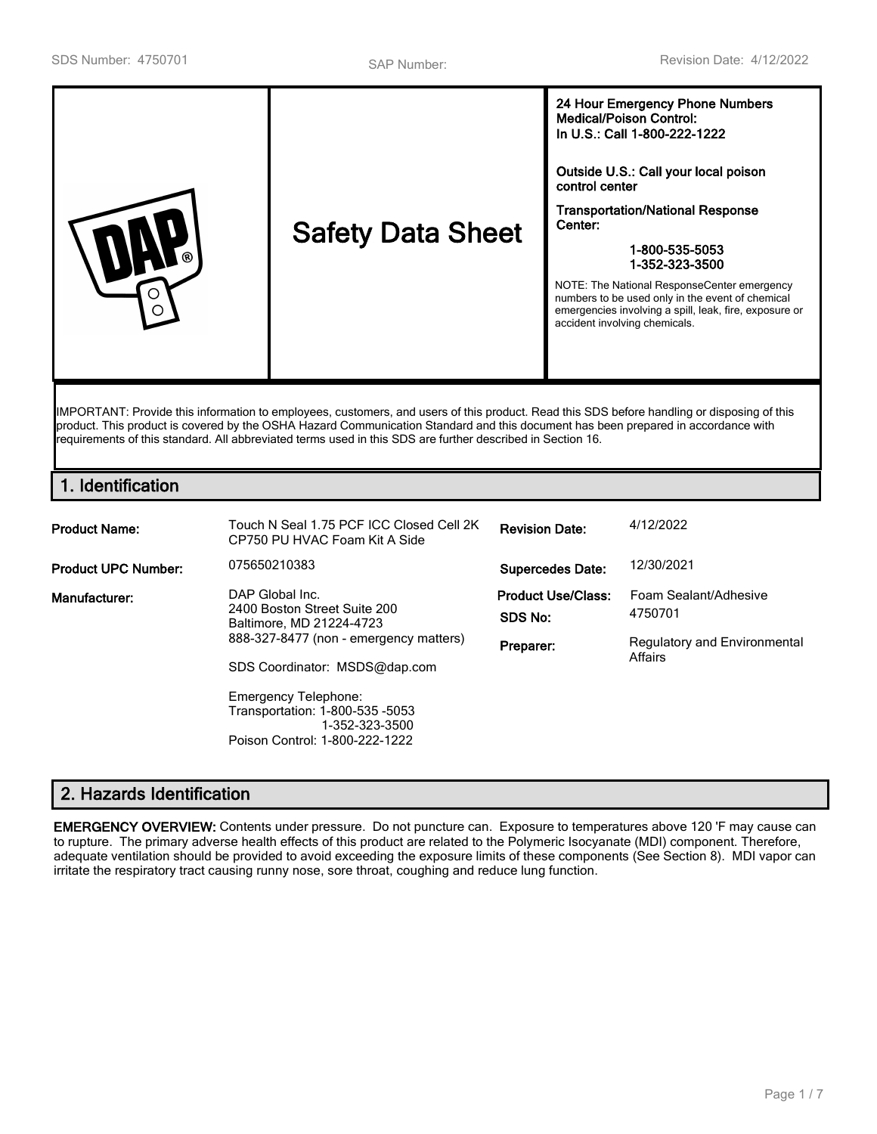| <b>Safety Data Sheet</b><br>∩ | Outside U.S.: Call your local poison<br>control center<br><b>Transportation/National Response</b><br>Center:<br>1-800-535-5053<br>1-352-323-3500<br>NOTE: The National ResponseCenter emergency<br>numbers to be used only in the event of chemical<br>emergencies involving a spill, leak, fire, exposure or<br>accident involving chemicals. |
|-------------------------------|------------------------------------------------------------------------------------------------------------------------------------------------------------------------------------------------------------------------------------------------------------------------------------------------------------------------------------------------|
|-------------------------------|------------------------------------------------------------------------------------------------------------------------------------------------------------------------------------------------------------------------------------------------------------------------------------------------------------------------------------------------|

IMPORTANT: Provide this information to employees, customers, and users of this product. Read this SDS before handling or disposing of this product. This product is covered by the OSHA Hazard Communication Standard and this document has been prepared in accordance with requirements of this standard. All abbreviated terms used in this SDS are further described in Section 16.

# **1. Identification**

| <b>Product Name:</b>       | Touch N Seal 1.75 PCF ICC Closed Cell 2K<br>CP750 PU HVAC Foam Kit A Side                                                                                                             | <b>Revision Date:</b>                             | 4/12/2022                                                                   |
|----------------------------|---------------------------------------------------------------------------------------------------------------------------------------------------------------------------------------|---------------------------------------------------|-----------------------------------------------------------------------------|
| <b>Product UPC Number:</b> | 075650210383                                                                                                                                                                          | <b>Supercedes Date:</b>                           | 12/30/2021                                                                  |
| Manufacturer:              | DAP Global Inc.<br>2400 Boston Street Suite 200<br>Baltimore, MD 21224-4723<br>888-327-8477 (non - emergency matters)<br>SDS Coordinator: MSDS@dap.com<br><b>Emergency Telephone:</b> | <b>Product Use/Class:</b><br>SDS No:<br>Preparer: | Foam Sealant/Adhesive<br>4750701<br>Regulatory and Environmental<br>Affairs |
|                            | Transportation: 1-800-535 -5053<br>1-352-323-3500<br>Poison Control: 1-800-222-1222                                                                                                   |                                                   |                                                                             |

# **2. Hazards Identification**

**EMERGENCY OVERVIEW:** Contents under pressure. Do not puncture can. Exposure to temperatures above 120 'F may cause can to rupture. The primary adverse health effects of this product are related to the Polymeric Isocyanate (MDI) component. Therefore, adequate ventilation should be provided to avoid exceeding the exposure limits of these components (See Section 8). MDI vapor can irritate the respiratory tract causing runny nose, sore throat, coughing and reduce lung function.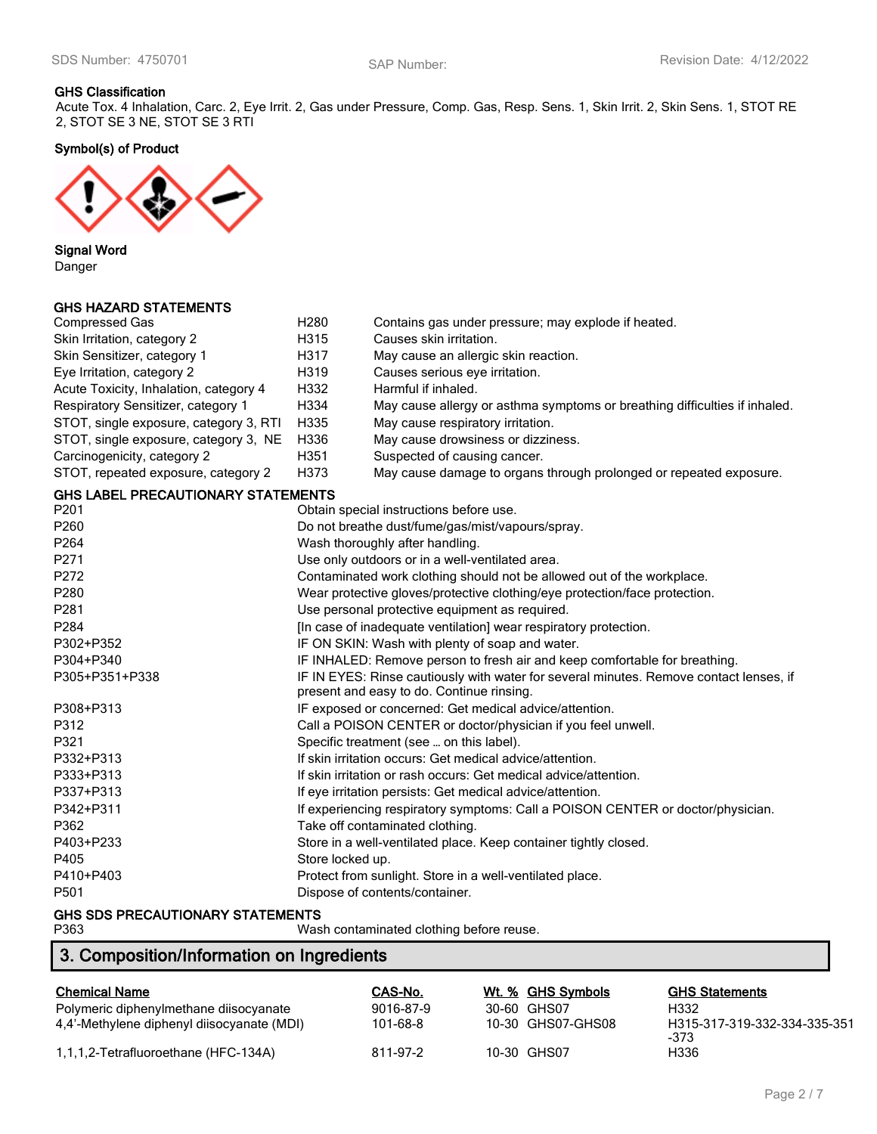#### **GHS Classification**

Acute Tox. 4 Inhalation, Carc. 2, Eye Irrit. 2, Gas under Pressure, Comp. Gas, Resp. Sens. 1, Skin Irrit. 2, Skin Sens. 1, STOT RE 2, STOT SE 3 NE, STOT SE 3 RTI

**Symbol(s) of Product**



**Signal Word** Danger

### **GHS HAZARD STATEMENTS**

| <b>Compressed Gas</b>                     | H <sub>280</sub>                                                                | Contains gas under pressure; may explode if heated.                                                                                 |  |
|-------------------------------------------|---------------------------------------------------------------------------------|-------------------------------------------------------------------------------------------------------------------------------------|--|
| Skin Irritation, category 2               | H315                                                                            | Causes skin irritation.                                                                                                             |  |
| Skin Sensitizer, category 1               | H317                                                                            | May cause an allergic skin reaction.                                                                                                |  |
| Eye Irritation, category 2                | H319                                                                            | Causes serious eye irritation.                                                                                                      |  |
| Acute Toxicity, Inhalation, category 4    | H332                                                                            | Harmful if inhaled.                                                                                                                 |  |
| Respiratory Sensitizer, category 1        | H334                                                                            | May cause allergy or asthma symptoms or breathing difficulties if inhaled.                                                          |  |
| STOT, single exposure, category 3, RTI    | H335                                                                            | May cause respiratory irritation.                                                                                                   |  |
| STOT, single exposure, category 3, NE     | H336                                                                            | May cause drowsiness or dizziness.                                                                                                  |  |
| Carcinogenicity, category 2               | H351                                                                            | Suspected of causing cancer.                                                                                                        |  |
| STOT, repeated exposure, category 2       | H373                                                                            | May cause damage to organs through prolonged or repeated exposure.                                                                  |  |
| <b>GHS LABEL PRECAUTIONARY STATEMENTS</b> |                                                                                 |                                                                                                                                     |  |
| P201                                      |                                                                                 | Obtain special instructions before use.                                                                                             |  |
| P260                                      |                                                                                 | Do not breathe dust/fume/gas/mist/vapours/spray.                                                                                    |  |
| P264                                      |                                                                                 | Wash thoroughly after handling.                                                                                                     |  |
| P271                                      |                                                                                 | Use only outdoors or in a well-ventilated area.                                                                                     |  |
| P272                                      |                                                                                 | Contaminated work clothing should not be allowed out of the workplace.                                                              |  |
| P280                                      | Wear protective gloves/protective clothing/eye protection/face protection.      |                                                                                                                                     |  |
| P281                                      | Use personal protective equipment as required.                                  |                                                                                                                                     |  |
| P284                                      | [In case of inadequate ventilation] wear respiratory protection.                |                                                                                                                                     |  |
| P302+P352                                 | IF ON SKIN: Wash with plenty of soap and water.                                 |                                                                                                                                     |  |
| P304+P340                                 |                                                                                 | IF INHALED: Remove person to fresh air and keep comfortable for breathing.                                                          |  |
| P305+P351+P338                            |                                                                                 | IF IN EYES: Rinse cautiously with water for several minutes. Remove contact lenses, if<br>present and easy to do. Continue rinsing. |  |
| P308+P313                                 |                                                                                 | IF exposed or concerned: Get medical advice/attention.                                                                              |  |
| P312                                      |                                                                                 | Call a POISON CENTER or doctor/physician if you feel unwell.                                                                        |  |
| P321                                      |                                                                                 | Specific treatment (see  on this label).                                                                                            |  |
| P332+P313                                 |                                                                                 | If skin irritation occurs: Get medical advice/attention.                                                                            |  |
| P333+P313                                 |                                                                                 | If skin irritation or rash occurs: Get medical advice/attention.                                                                    |  |
| P337+P313                                 |                                                                                 | If eye irritation persists: Get medical advice/attention.                                                                           |  |
| P342+P311                                 | If experiencing respiratory symptoms: Call a POISON CENTER or doctor/physician. |                                                                                                                                     |  |
| P362                                      |                                                                                 | Take off contaminated clothing.                                                                                                     |  |
| P403+P233                                 |                                                                                 | Store in a well-ventilated place. Keep container tightly closed.                                                                    |  |
| P405                                      | Store locked up.                                                                |                                                                                                                                     |  |
| P410+P403                                 |                                                                                 | Protect from sunlight. Store in a well-ventilated place.                                                                            |  |
| P501                                      | Dispose of contents/container.                                                  |                                                                                                                                     |  |
| OUR CDC PREOLUTIONADY CTATELIENTS         |                                                                                 |                                                                                                                                     |  |

# **GHS SDS PRECAUTIONARY STATEMENTS**

| Wash contaminated clothing before reuse. |
|------------------------------------------|
|                                          |

# **3. Composition/Information on Ingredients**

| <b>Chemical Name</b>                       | CAS-No.   | Wt. % GHS Symbols | <b>GHS Statements</b>                |
|--------------------------------------------|-----------|-------------------|--------------------------------------|
| Polymeric diphenylmethane diisocyanate     | 9016-87-9 | 30-60 GHS07       | H332                                 |
| 4.4'-Methylene diphenyl diisocyanate (MDI) | 101-68-8  | 10-30 GHS07-GHS08 | H315-317-319-332-334-335-351<br>-373 |
| 1,1,1,2-Tetrafluoroethane (HFC-134A)       | 811-97-2  | 10-30 GHS07       | H336                                 |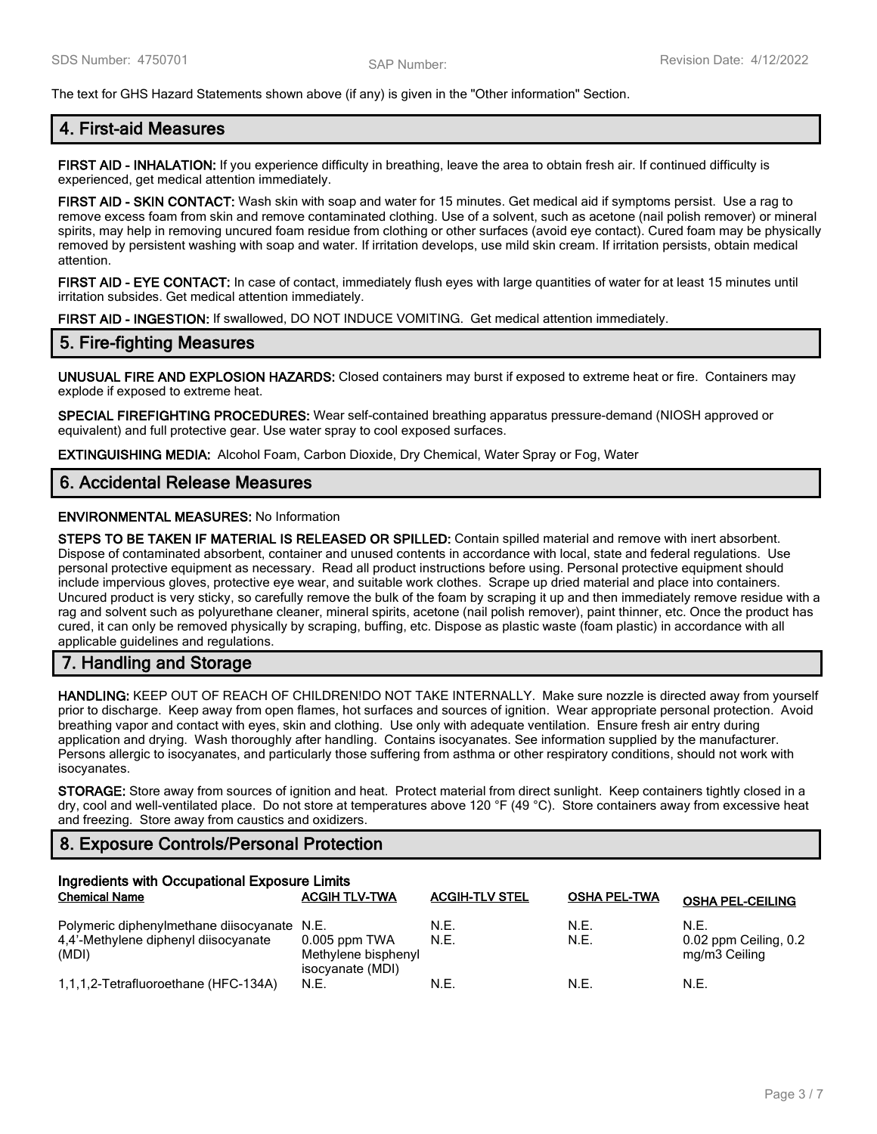The text for GHS Hazard Statements shown above (if any) is given in the "Other information" Section.

# **4. First-aid Measures**

**FIRST AID - INHALATION:** If you experience difficulty in breathing, leave the area to obtain fresh air. If continued difficulty is experienced, get medical attention immediately.

**FIRST AID - SKIN CONTACT:** Wash skin with soap and water for 15 minutes. Get medical aid if symptoms persist. Use a rag to remove excess foam from skin and remove contaminated clothing. Use of a solvent, such as acetone (nail polish remover) or mineral spirits, may help in removing uncured foam residue from clothing or other surfaces (avoid eye contact). Cured foam may be physically removed by persistent washing with soap and water. If irritation develops, use mild skin cream. If irritation persists, obtain medical attention.

**FIRST AID - EYE CONTACT:** In case of contact, immediately flush eyes with large quantities of water for at least 15 minutes until irritation subsides. Get medical attention immediately.

**FIRST AID - INGESTION:** If swallowed, DO NOT INDUCE VOMITING. Get medical attention immediately.

# **5. Fire-fighting Measures**

**UNUSUAL FIRE AND EXPLOSION HAZARDS:** Closed containers may burst if exposed to extreme heat or fire. Containers may explode if exposed to extreme heat.

**SPECIAL FIREFIGHTING PROCEDURES:** Wear self-contained breathing apparatus pressure-demand (NIOSH approved or equivalent) and full protective gear. Use water spray to cool exposed surfaces.

**EXTINGUISHING MEDIA:** Alcohol Foam, Carbon Dioxide, Dry Chemical, Water Spray or Fog, Water

### **6. Accidental Release Measures**

#### **ENVIRONMENTAL MEASURES:** No Information

**STEPS TO BE TAKEN IF MATERIAL IS RELEASED OR SPILLED:** Contain spilled material and remove with inert absorbent. Dispose of contaminated absorbent, container and unused contents in accordance with local, state and federal regulations. Use personal protective equipment as necessary. Read all product instructions before using. Personal protective equipment should include impervious gloves, protective eye wear, and suitable work clothes. Scrape up dried material and place into containers. Uncured product is very sticky, so carefully remove the bulk of the foam by scraping it up and then immediately remove residue with a rag and solvent such as polyurethane cleaner, mineral spirits, acetone (nail polish remover), paint thinner, etc. Once the product has cured, it can only be removed physically by scraping, buffing, etc. Dispose as plastic waste (foam plastic) in accordance with all applicable guidelines and regulations.

# **7. Handling and Storage**

**HANDLING:** KEEP OUT OF REACH OF CHILDREN!DO NOT TAKE INTERNALLY. Make sure nozzle is directed away from yourself prior to discharge. Keep away from open flames, hot surfaces and sources of ignition. Wear appropriate personal protection. Avoid breathing vapor and contact with eyes, skin and clothing. Use only with adequate ventilation. Ensure fresh air entry during application and drying. Wash thoroughly after handling. Contains isocyanates. See information supplied by the manufacturer. Persons allergic to isocyanates, and particularly those suffering from asthma or other respiratory conditions, should not work with isocyanates.

**STORAGE:** Store away from sources of ignition and heat. Protect material from direct sunlight. Keep containers tightly closed in a dry, cool and well-ventilated place. Do not store at temperatures above 120 °F (49 °C). Store containers away from excessive heat and freezing. Store away from caustics and oxidizers.

# **8. Exposure Controls/Personal Protection**

| Ingredients with Occupational Exposure Limits                                                |                                                            |                       |                     |                                                |  |
|----------------------------------------------------------------------------------------------|------------------------------------------------------------|-----------------------|---------------------|------------------------------------------------|--|
| <b>Chemical Name</b>                                                                         | <b>ACGIH TLV-TWA</b>                                       | <b>ACGIH-TLV STEL</b> | <b>OSHA PEL-TWA</b> | <b>OSHA PEL-CEILING</b>                        |  |
| Polymeric diphenylmethane diisocyanate N.E.<br>4,4'-Methylene diphenyl diisocyanate<br>(MDI) | $0.005$ ppm TWA<br>Methylene bisphenyl<br>isocyanate (MDI) | N.E.<br>N.E.          | N.E.<br>N.E.        | N.E.<br>0.02 ppm Ceiling, 0.2<br>mg/m3 Ceiling |  |
| 1,1,1,2-Tetrafluoroethane (HFC-134A)                                                         | N.E.                                                       | N.E.                  | N.E.                | N.E.                                           |  |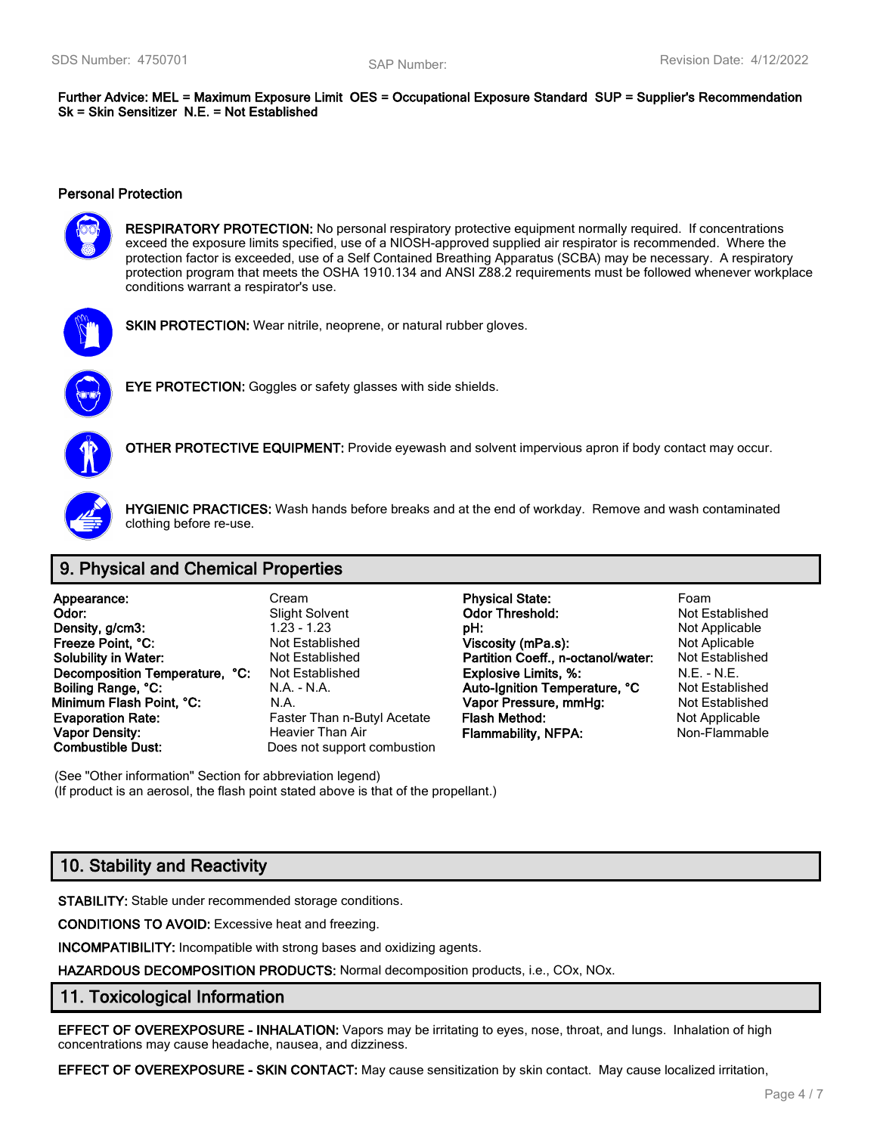**Further Advice: MEL = Maximum Exposure Limit OES = Occupational Exposure Standard SUP = Supplier's Recommendation Sk = Skin Sensitizer N.E. = Not Established**

#### **Personal Protection**



**RESPIRATORY PROTECTION:** No personal respiratory protective equipment normally required. If concentrations exceed the exposure limits specified, use of a NIOSH-approved supplied air respirator is recommended. Where the protection factor is exceeded, use of a Self Contained Breathing Apparatus (SCBA) may be necessary. A respiratory protection program that meets the OSHA 1910.134 and ANSI Z88.2 requirements must be followed whenever workplace conditions warrant a respirator's use.



**SKIN PROTECTION:** Wear nitrile, neoprene, or natural rubber gloves.



**EYE PROTECTION:** Goggles or safety glasses with side shields.



**OTHER PROTECTIVE EQUIPMENT:** Provide eyewash and solvent impervious apron if body contact may occur.



**HYGIENIC PRACTICES:** Wash hands before breaks and at the end of workday. Remove and wash contaminated clothing before re-use.

# **9. Physical and Chemical Properties**

| Appearance:                    | Cream                       | <b>Physical State:</b>             | Foam                  |
|--------------------------------|-----------------------------|------------------------------------|-----------------------|
| Odor:                          | <b>Slight Solvent</b>       | <b>Odor Threshold:</b>             | Not Establishe        |
| Density, g/cm3:                | $1.23 - 1.23$               | pH:                                | Not Applicable        |
| Freeze Point, °C:              | <b>Not Established</b>      | Viscosity (mPa.s):                 | Not Aplicable         |
| <b>Solubility in Water:</b>    | Not Established             | Partition Coeff., n-octanol/water: | <b>Not Establishe</b> |
| Decomposition Temperature, °C: | <b>Not Established</b>      | <b>Explosive Limits, %:</b>        | $N.E. - N.E.$         |
| Boiling Range, °C:             | N.A. - N.A.                 | Auto-Ignition Temperature, °C      | <b>Not Establishe</b> |
| Minimum Flash Point, °C:       | N.A.                        | Vapor Pressure, mmHg:              | Not Establishe        |
| <b>Evaporation Rate:</b>       | Faster Than n-Butyl Acetate | Flash Method:                      | Not Applicable        |
| <b>Vapor Density:</b>          | Heavier Than Air            | <b>Flammability, NFPA:</b>         | Non-Flammabl          |
| <b>Combustible Dust:</b>       | Does not support combustion |                                    |                       |

(See "Other information" Section for abbreviation legend) (If product is an aerosol, the flash point stated above is that of the propellant.)

# **10. Stability and Reactivity**

**STABILITY:** Stable under recommended storage conditions.

**CONDITIONS TO AVOID:** Excessive heat and freezing.

**INCOMPATIBILITY:** Incompatible with strong bases and oxidizing agents.

**HAZARDOUS DECOMPOSITION PRODUCTS:** Normal decomposition products, i.e., COx, NOx.

### **11. Toxicological Information**

**EFFECT OF OVEREXPOSURE - INHALATION:** Vapors may be irritating to eyes, nose, throat, and lungs. Inhalation of high concentrations may cause headache, nausea, and dizziness.

**EFFECT OF OVEREXPOSURE - SKIN CONTACT:** May cause sensitization by skin contact. May cause localized irritation,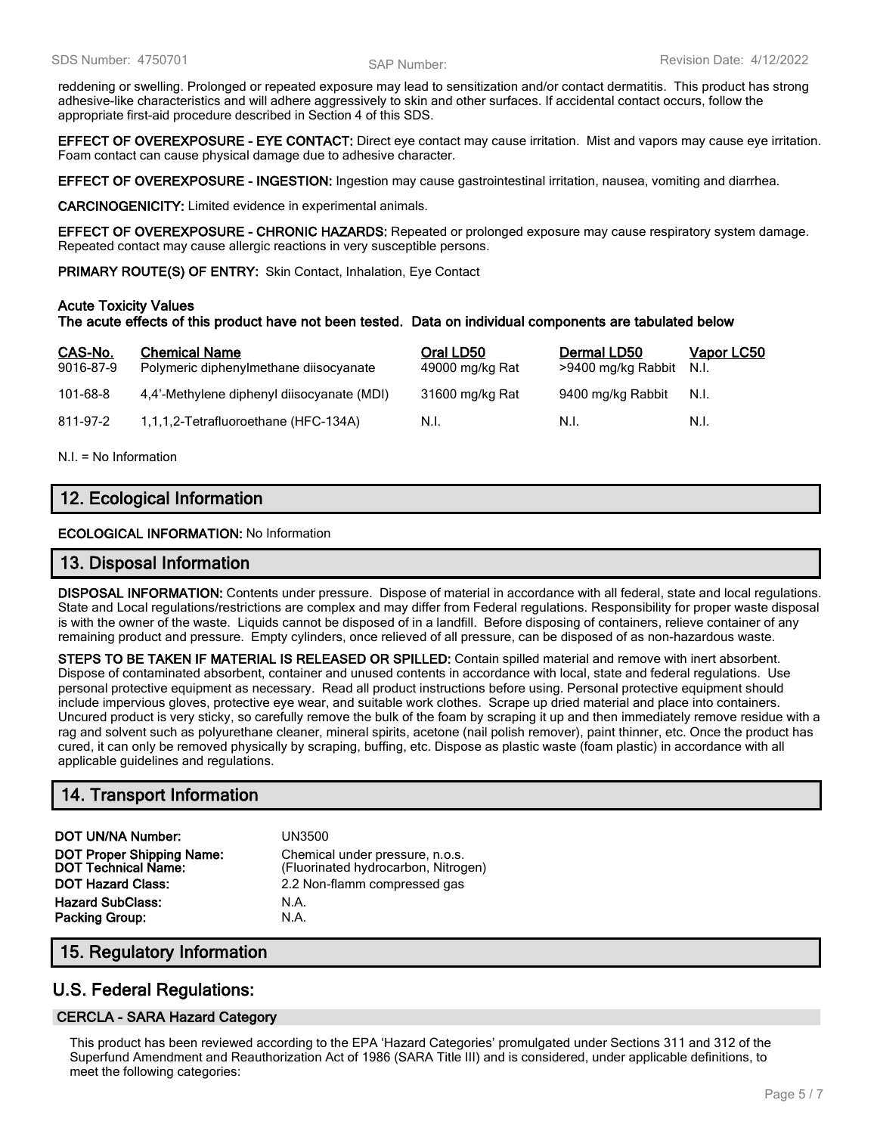reddening or swelling. Prolonged or repeated exposure may lead to sensitization and/or contact dermatitis. This product has strong adhesive-like characteristics and will adhere aggressively to skin and other surfaces. If accidental contact occurs, follow the appropriate first-aid procedure described in Section 4 of this SDS.

**EFFECT OF OVEREXPOSURE - EYE CONTACT:** Direct eye contact may cause irritation. Mist and vapors may cause eye irritation. Foam contact can cause physical damage due to adhesive character.

**EFFECT OF OVEREXPOSURE - INGESTION:** Ingestion may cause gastrointestinal irritation, nausea, vomiting and diarrhea.

**CARCINOGENICITY:** Limited evidence in experimental animals.

**EFFECT OF OVEREXPOSURE - CHRONIC HAZARDS:** Repeated or prolonged exposure may cause respiratory system damage. Repeated contact may cause allergic reactions in very susceptible persons.

**PRIMARY ROUTE(S) OF ENTRY:** Skin Contact, Inhalation, Eye Contact

#### **Acute Toxicity Values**

#### **The acute effects of this product have not been tested. Data on individual components are tabulated below**

| CAS-No.<br>9016-87-9 | <b>Chemical Name</b><br>Polymeric diphenylmethane diisocyanate | Oral LD50<br>49000 mg/kg Rat | Dermal LD50<br>>9400 mg/kg Rabbit | <u>Vapor LC50</u><br>N.I. |
|----------------------|----------------------------------------------------------------|------------------------------|-----------------------------------|---------------------------|
| $101 - 68 - 8$       | 4,4'-Methylene diphenyl diisocyanate (MDI)                     | 31600 mg/kg Rat              | 9400 mg/kg Rabbit                 | N.I.                      |
| 811-97-2             | 1,1,1,2-Tetrafluoroethane (HFC-134A)                           | N.I.                         | - N.I.                            | N.I.                      |

N.I. = No Information

# **12. Ecological Information**

**ECOLOGICAL INFORMATION:** No Information

### **13. Disposal Information**

**DISPOSAL INFORMATION:** Contents under pressure. Dispose of material in accordance with all federal, state and local regulations. State and Local regulations/restrictions are complex and may differ from Federal regulations. Responsibility for proper waste disposal is with the owner of the waste. Liquids cannot be disposed of in a landfill. Before disposing of containers, relieve container of any remaining product and pressure. Empty cylinders, once relieved of all pressure, can be disposed of as non-hazardous waste.

**STEPS TO BE TAKEN IF MATERIAL IS RELEASED OR SPILLED:** Contain spilled material and remove with inert absorbent. Dispose of contaminated absorbent, container and unused contents in accordance with local, state and federal regulations. Use personal protective equipment as necessary. Read all product instructions before using. Personal protective equipment should include impervious gloves, protective eye wear, and suitable work clothes. Scrape up dried material and place into containers. Uncured product is very sticky, so carefully remove the bulk of the foam by scraping it up and then immediately remove residue with a rag and solvent such as polyurethane cleaner, mineral spirits, acetone (nail polish remover), paint thinner, etc. Once the product has cured, it can only be removed physically by scraping, buffing, etc. Dispose as plastic waste (foam plastic) in accordance with all applicable guidelines and regulations.

# **14. Transport Information**

**DOT UN/NA Number:** UN3500 **DOT Proper Shipping Name:** Chemical under pressure, n.o.s.<br>**DOT Technical Name:** (Fluorinated hydrocarbon, Nitrog **DOT Hazard Class:** 2.2 Non-flamm compressed gas **Hazard SubClass:** N.A. **Packing Group:** N.A.

(Fluorinated hydrocarbon, Nitrogen)

# **15. Regulatory Information**

# **U.S. Federal Regulations:**

### **CERCLA - SARA Hazard Category**

This product has been reviewed according to the EPA 'Hazard Categories' promulgated under Sections 311 and 312 of the Superfund Amendment and Reauthorization Act of 1986 (SARA Title III) and is considered, under applicable definitions, to meet the following categories: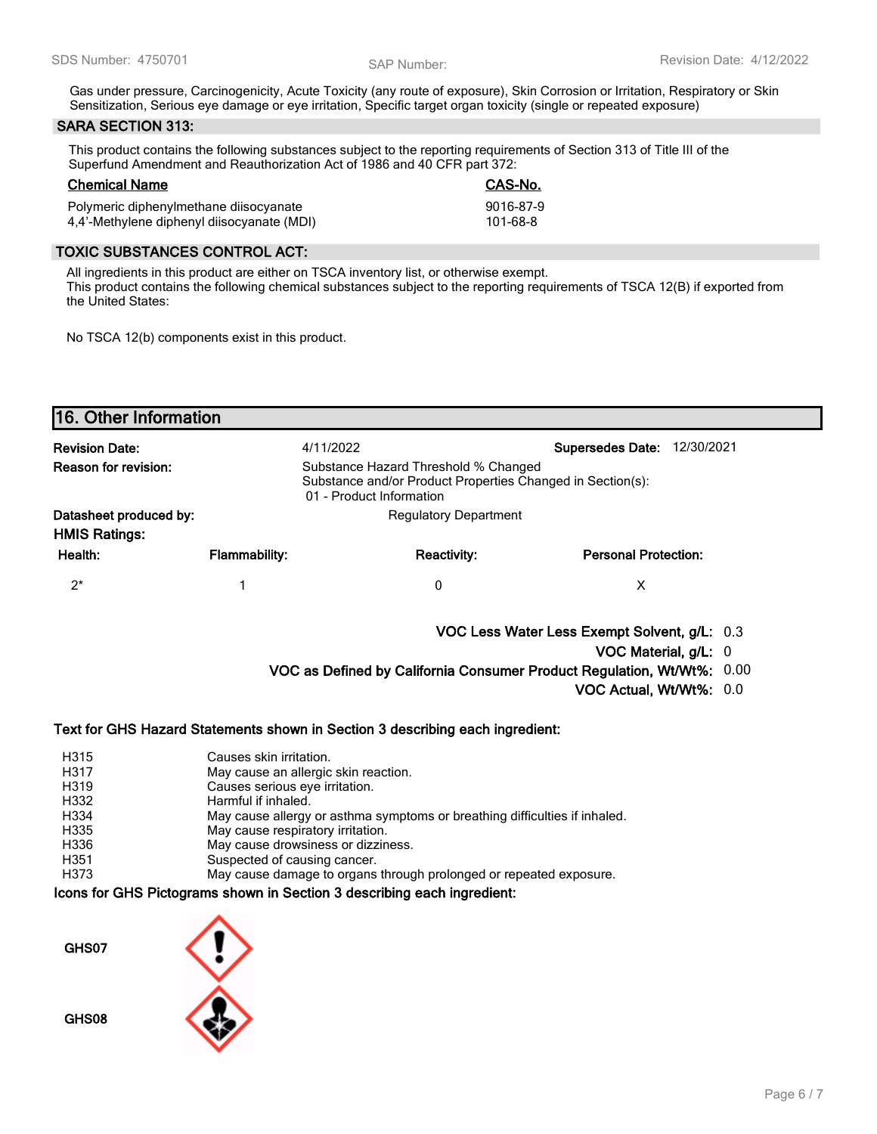Gas under pressure, Carcinogenicity, Acute Toxicity (any route of exposure), Skin Corrosion or Irritation, Respiratory or Skin Sensitization, Serious eye damage or eye irritation, Specific target organ toxicity (single or repeated exposure)

### **SARA SECTION 313:**

This product contains the following substances subject to the reporting requirements of Section 313 of Title III of the Superfund Amendment and Reauthorization Act of 1986 and 40 CFR part 372:

# **Chemical Name CAS-No.**

| ------------------                         | --------  |
|--------------------------------------------|-----------|
| Polymeric diphenylmethane diisocyanate     | 9016-87-9 |
| 4,4'-Methylene diphenyl diisocyanate (MDI) | 101-68-8  |

### **TOXIC SUBSTANCES CONTROL ACT:**

All ingredients in this product are either on TSCA inventory list, or otherwise exempt. This product contains the following chemical substances subject to the reporting requirements of TSCA 12(B) if exported from the United States:

No TSCA 12(b) components exist in this product.

| <b>Revision Date:</b>                          | 4/11/2022            |                                                                                                                                | <b>Supersedes Date:</b><br>12/30/2021        |  |
|------------------------------------------------|----------------------|--------------------------------------------------------------------------------------------------------------------------------|----------------------------------------------|--|
| <b>Reason for revision:</b>                    |                      | Substance Hazard Threshold % Changed<br>Substance and/or Product Properties Changed in Section(s):<br>01 - Product Information |                                              |  |
| Datasheet produced by:<br><b>HMIS Ratings:</b> |                      | <b>Regulatory Department</b>                                                                                                   |                                              |  |
| Health:                                        | <b>Flammability:</b> | <b>Reactivity:</b>                                                                                                             | <b>Personal Protection:</b>                  |  |
| $2^*$                                          |                      | 0                                                                                                                              | X                                            |  |
|                                                |                      |                                                                                                                                | VOC Less Water Less Exempt Solvent, g/L: 0.3 |  |
|                                                |                      |                                                                                                                                | VOC Material, g/L: 0                         |  |
|                                                |                      | VOC as Defined by California Consumer Product Regulation, Wt/Wt%: 0.00                                                         |                                              |  |
|                                                |                      |                                                                                                                                | VOC Actual, Wt/Wt%: 0.0                      |  |

#### **Text for GHS Hazard Statements shown in Section 3 describing each ingredient:**

| H315 | Causes skin irritation.                                                    |
|------|----------------------------------------------------------------------------|
| H317 | May cause an allergic skin reaction.                                       |
| H319 | Causes serious eye irritation.                                             |
| H332 | Harmful if inhaled.                                                        |
| H334 | May cause allergy or asthma symptoms or breathing difficulties if inhaled. |
| H335 | May cause respiratory irritation.                                          |
| H336 | May cause drowsiness or dizziness.                                         |
| H351 | Suspected of causing cancer.                                               |
| H373 | May cause damage to organs through prolonged or repeated exposure.         |

#### **Icons for GHS Pictograms shown in Section 3 describing each ingredient:**